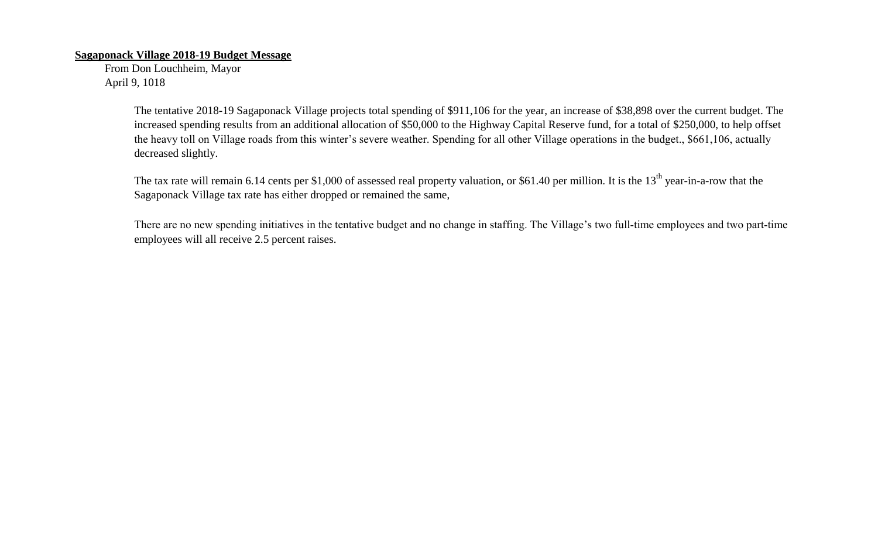## **Sagaponack Village 2018-19 Budget Message**

From Don Louchheim, Mayor April 9, 1018

> The tentative 2018-19 Sagaponack Village projects total spending of \$911,106 for the year, an increase of \$38,898 over the current budget. The increased spending results from an additional allocation of \$50,000 to the Highway Capital Reserve fund, for a total of \$250,000, to help offset the heavy toll on Village roads from this winter's severe weather. Spending for all other Village operations in the budget., \$661,106, actually decreased slightly.

The tax rate will remain 6.14 cents per \$1,000 of assessed real property valuation, or \$61.40 per million. It is the  $13<sup>th</sup>$  year-in-a-row that the Sagaponack Village tax rate has either dropped or remained the same,

There are no new spending initiatives in the tentative budget and no change in staffing. The Village's two full-time employees and two part-time employees will all receive 2.5 percent raises.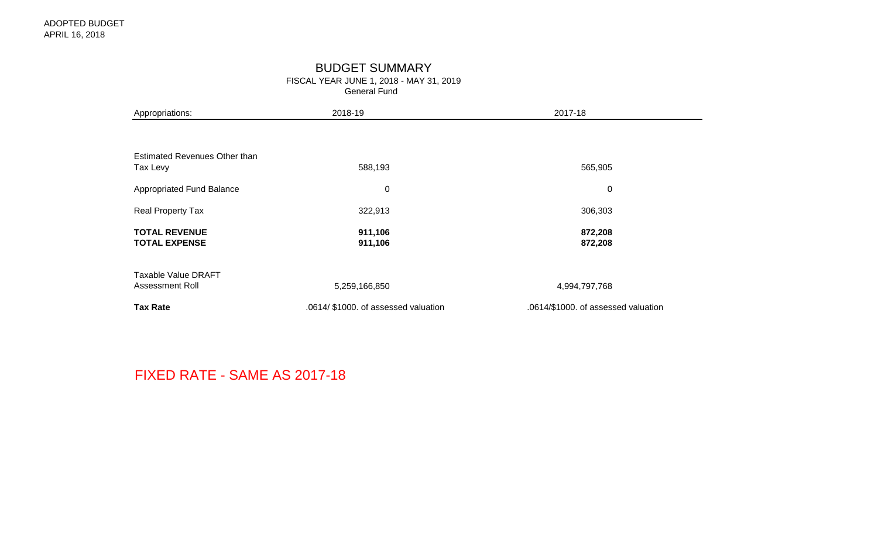# BUDGET SUMMARY

FISCAL YEAR JUNE 1, 2018 - MAY 31, 2019

General Fund

| Appropriations:                               | 2018-19                              | 2017-18                             |
|-----------------------------------------------|--------------------------------------|-------------------------------------|
|                                               |                                      |                                     |
| Estimated Revenues Other than<br>Tax Levy     | 588,193                              | 565,905                             |
| Appropriated Fund Balance                     | $\mathbf 0$                          | $\mathbf 0$                         |
| Real Property Tax                             | 322,913                              | 306,303                             |
| <b>TOTAL REVENUE</b><br><b>TOTAL EXPENSE</b>  | 911,106<br>911,106                   | 872,208<br>872,208                  |
| <b>Taxable Value DRAFT</b><br>Assessment Roll | 5,259,166,850                        | 4,994,797,768                       |
| <b>Tax Rate</b>                               | .0614/ \$1000. of assessed valuation | .0614/\$1000. of assessed valuation |

FIXED RATE - SAME AS 2017-18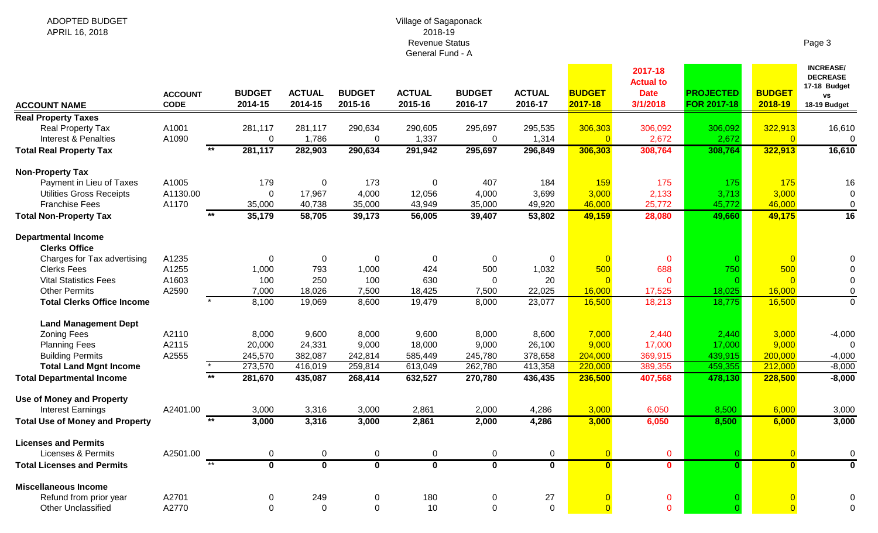#### Village of Sagaponack 2018-19 Revenue Status General Fund - A

| m<br>$\overline{\phantom{a}}$<br>А |  |
|------------------------------------|--|
|------------------------------------|--|

| <b>ACCOUNT NAME</b>                    | <b>ACCOUNT</b><br><b>CODE</b> | <b>BUDGET</b><br>2014-15 | <b>ACTUAL</b><br>2014-15 | <b>BUDGET</b><br>2015-16 | <b>ACTUAL</b><br>2015-16 | <b>BUDGET</b><br>2016-17 | <b>ACTUAL</b><br>2016-17 | <b>BUDGET</b><br>2017-18 | 2017-18<br><b>Actual to</b><br><b>Date</b><br>3/1/2018 | <b>PROJECTED</b><br><b>FOR 2017-18</b> | <b>BUDGET</b><br>2018-19 | <b>INCREASE/</b><br><b>DECREASE</b><br>17-18 Budget<br><b>VS</b><br>18-19 Budget |
|----------------------------------------|-------------------------------|--------------------------|--------------------------|--------------------------|--------------------------|--------------------------|--------------------------|--------------------------|--------------------------------------------------------|----------------------------------------|--------------------------|----------------------------------------------------------------------------------|
| <b>Real Property Taxes</b>             |                               |                          |                          |                          |                          |                          |                          |                          |                                                        |                                        |                          |                                                                                  |
| <b>Real Property Tax</b>               | A1001                         | 281,117                  | 281,117                  | 290,634                  | 290,605                  | 295,697                  | 295,535                  | 306,303                  | 306,092                                                | 306,092                                | 322,913                  | 16,610                                                                           |
| <b>Interest &amp; Penalties</b>        | A1090                         | $\mathbf 0$              | 1,786                    | 0                        | 1,337                    | $\mathbf{0}$             | 1,314                    | $\Omega$                 | 2,672                                                  | 2,672                                  | $\overline{0}$           | $\mathbf 0$                                                                      |
| <b>Total Real Property Tax</b>         | $\overline{**}$               | 281,117                  | 282,903                  | 290,634                  | 291,942                  | 295,697                  | 296,849                  | 306,303                  | 308,764                                                | 308,764                                | 322,913                  | 16,610                                                                           |
| <b>Non-Property Tax</b>                |                               |                          |                          |                          |                          |                          |                          |                          |                                                        |                                        |                          |                                                                                  |
| Payment in Lieu of Taxes               | A1005                         | 179                      | 0                        | 173                      | 0                        | 407                      | 184                      | 159                      | 175                                                    | 175                                    | 175                      | 16                                                                               |
| <b>Utilities Gross Receipts</b>        | A1130.00                      | $\Omega$                 | 17,967                   | 4,000                    | 12,056                   | 4,000                    | 3,699                    | 3,000                    | 2,133                                                  | 3,713                                  | 3,000                    | 0                                                                                |
| <b>Franchise Fees</b>                  | A1170                         | 35,000                   | 40,738                   | 35,000                   | 43,949                   | 35,000                   | 49,920                   | 46,000                   | 25,772                                                 | 45,772                                 | 46,000                   | $\mathbf 0$                                                                      |
| <b>Total Non-Property Tax</b>          |                               | 35,179                   | 58,705                   | 39,173                   | 56,005                   | 39,407                   | 53,802                   | 49,159                   | 28,080                                                 | 49,660                                 | 49,175                   | $\overline{16}$                                                                  |
| <b>Departmental Income</b>             |                               |                          |                          |                          |                          |                          |                          |                          |                                                        |                                        |                          |                                                                                  |
| <b>Clerks Office</b>                   |                               |                          |                          |                          |                          |                          |                          |                          |                                                        |                                        |                          |                                                                                  |
| Charges for Tax advertising            | A1235                         | 0                        | $\mathbf 0$              | $\overline{0}$           | 0                        | $\mathbf 0$              | $\mathbf 0$              | - റ                      | $\mathbf{0}$                                           |                                        | $\overline{0}$           |                                                                                  |
| <b>Clerks Fees</b>                     | A1255                         | 1,000                    | 793                      | 1,000                    | 424                      | 500                      | 1,032                    | 500                      | 688                                                    | 750                                    | 500                      |                                                                                  |
| <b>Vital Statistics Fees</b>           | A1603                         | 100                      | 250                      | 100                      | 630                      | $\Omega$                 | 20                       | $\Omega$                 | $\Omega$                                               |                                        | $\Omega$                 | 0                                                                                |
| <b>Other Permits</b>                   | A2590                         | 7,000                    | 18,026                   | 7,500                    | 18,425                   | 7,500                    | 22,025                   | 16,000                   | 17,525                                                 | 18,025                                 | 16,000                   | 0                                                                                |
| <b>Total Clerks Office Income</b>      |                               | 8,100                    | 19,069                   | 8,600                    | 19,479                   | 8,000                    | 23,077                   | 16,500                   | 18,213                                                 | 18,775                                 | 16,500                   | $\Omega$                                                                         |
| <b>Land Management Dept</b>            |                               |                          |                          |                          |                          |                          |                          |                          |                                                        |                                        |                          |                                                                                  |
| <b>Zoning Fees</b>                     | A2110                         | 8,000                    | 9,600                    | 8,000                    | 9,600                    | 8,000                    | 8,600                    | 7,000                    | 2,440                                                  | 2,440                                  | 3,000                    | $-4,000$                                                                         |
| <b>Planning Fees</b>                   | A2115                         | 20,000                   | 24,331                   | 9,000                    | 18,000                   | 9,000                    | 26,100                   | 9,000                    | 17,000                                                 | 17,000                                 | 9,000                    | $\overline{0}$                                                                   |
| <b>Building Permits</b>                | A2555                         | 245,570                  | 382,087                  | 242,814                  | 585,449                  | 245,780                  | 378,658                  | 204,000                  | 369,915                                                | 439,915                                | 200,000                  | $-4,000$                                                                         |
| <b>Total Land Mgnt Income</b>          |                               | 273,570                  | 416,019                  | 259,814                  | 613,049                  | 262,780                  | 413,358                  | 220,000                  | 389,355                                                | 459,355                                | 212,000                  | $-8,000$                                                                         |
| <b>Total Departmental Income</b>       |                               | 281,670                  | 435,087                  | 268,414                  | 632,527                  | 270,780                  | 436,435                  | 236,500                  | 407,568                                                | 478,130                                | 228,500                  | $-8,000$                                                                         |
| <b>Use of Money and Property</b>       |                               |                          |                          |                          |                          |                          |                          |                          |                                                        |                                        |                          |                                                                                  |
| <b>Interest Earnings</b>               | A2401.00                      | 3,000                    | 3,316                    | 3,000                    | 2,861                    | 2,000                    | 4,286                    | 3,000                    | 6,050                                                  | 8,500                                  | 6,000                    | 3,000                                                                            |
| <b>Total Use of Money and Property</b> | $*$                           | 3,000                    | 3,316                    | 3,000                    | 2,861                    | 2,000                    | 4,286                    | 3,000                    | 6,050                                                  | 8,500                                  | 6,000                    | 3,000                                                                            |
| <b>Licenses and Permits</b>            |                               |                          |                          |                          |                          |                          |                          |                          |                                                        |                                        |                          |                                                                                  |
| <b>Licenses &amp; Permits</b>          | A2501.00                      | 0                        | $\mathbf 0$              | $\mathbf 0$              | 0                        | $\mathbf 0$              | $\mathbf 0$              | $\Omega$                 | $\mathbf 0$                                            |                                        | $\overline{0}$           | $\mathbf 0$                                                                      |
| <b>Total Licenses and Permits</b>      | $+$                           | $\overline{\mathbf{0}}$  | $\mathbf{0}$             | $\mathbf 0$              | $\mathbf 0$              | $\mathbf 0$              | $\mathbf 0$              | $\mathbf{0}$             | $\mathbf{0}$                                           | $\Omega$                               | $\mathbf{0}$             | $\mathbf 0$                                                                      |
| <b>Miscellaneous Income</b>            |                               |                          |                          |                          |                          |                          |                          |                          |                                                        |                                        |                          |                                                                                  |
| Refund from prior year                 | A2701                         | 0                        | 249                      | 0                        | 180                      | $\Omega$                 | 27                       |                          | 0                                                      |                                        |                          |                                                                                  |
| <b>Other Unclassified</b>              | A2770                         | $\Omega$                 | $\Omega$                 | $\mathbf 0$              | 10                       | $\Omega$                 | $\mathbf 0$              | $\Omega$                 | $\Omega$                                               |                                        | $\Omega$                 | 0                                                                                |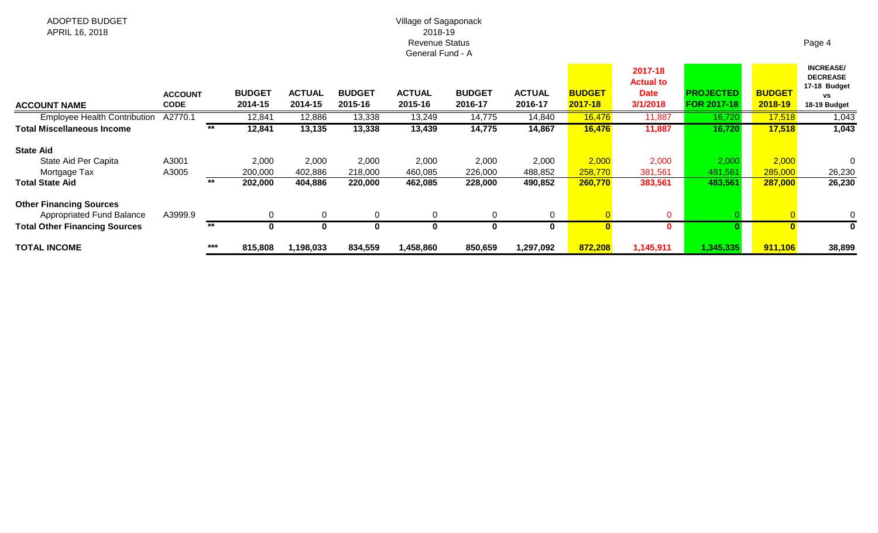#### Village of Sagaponack 2018-19 Revenue Status General Fund - A

| <b>ACCOUNT NAME</b>                  | <b>ACCOUNT</b><br><b>CODE</b> |       | <b>BUDGET</b><br>2014-15 | <b>ACTUAL</b><br>2014-15 | <b>BUDGET</b><br>2015-16 | <b>ACTUAL</b><br>2015-16 | <b>BUDGET</b><br>2016-17 | <b>ACTUAL</b><br>2016-17 | <b>BUDGET</b><br>2017-18 | 2017-18<br><b>Actual to</b><br><b>Date</b><br>3/1/2018 | <b>PROJECTED</b><br><b>FOR 2017-18</b> | <b>BUDGET</b><br>2018-19 | <b>INCREASE/</b><br><b>DECREASE</b><br>17-18 Budget<br>٧S<br>18-19 Budget |
|--------------------------------------|-------------------------------|-------|--------------------------|--------------------------|--------------------------|--------------------------|--------------------------|--------------------------|--------------------------|--------------------------------------------------------|----------------------------------------|--------------------------|---------------------------------------------------------------------------|
| <b>Employee Health Contribution</b>  | A2770.1                       |       | 12,841                   | 12,886                   | 13,338                   | 13,249                   | 14,775                   | 14,840                   | 16,476                   | 11,887                                                 | 16,720                                 | 17,518                   | 1,043                                                                     |
| <b>Total Miscellaneous Income</b>    |                               | $***$ | 12,841                   | 13,135                   | 13,338                   | 13,439                   | 14,775                   | 14,867                   | 16,476                   | 11,887                                                 | 16,720                                 | 17,518                   | 1,043                                                                     |
| <b>State Aid</b>                     |                               |       |                          |                          |                          |                          |                          |                          |                          |                                                        |                                        |                          |                                                                           |
| State Aid Per Capita                 | A3001                         |       | 2,000                    | 2,000                    | 2,000                    | 2,000                    | 2,000                    | 2,000                    | 2,000                    | 2,000                                                  | 2,000                                  | 2,000                    |                                                                           |
| Mortgage Tax                         | A3005                         |       | 200,000                  | 402,886                  | 218,000                  | 460,085                  | 226,000                  | 488,852                  | 258,770                  | 381,561                                                | 481,561                                | 285,000                  | 26,230                                                                    |
| <b>Total State Aid</b>               |                               | **    | 202,000                  | 404,886                  | 220,000                  | 462,085                  | 228,000                  | 490,852                  | 260,770                  | 383,561                                                | 483,561                                | 287,000                  | 26,230                                                                    |
| <b>Other Financing Sources</b>       |                               |       |                          |                          |                          |                          |                          |                          |                          |                                                        |                                        |                          |                                                                           |
| <b>Appropriated Fund Balance</b>     | A3999.9                       |       |                          | 0                        | $\Omega$                 | $\Omega$                 | $\Omega$                 | $\overline{0}$           |                          | $\Omega$                                               |                                        |                          |                                                                           |
| <b>Total Other Financing Sources</b> |                               | $***$ |                          | O                        | 0                        |                          | 0                        | 0                        |                          | 0                                                      |                                        |                          |                                                                           |
| <b>TOTAL INCOME</b>                  |                               | ***   | 815,808                  | 1,198,033                | 834,559                  | 1,458,860                | 850,659                  | 1,297,092                | 872,208                  | 1,145,911                                              | 1,345,335                              | 911,106                  | 38,899                                                                    |

## Page 4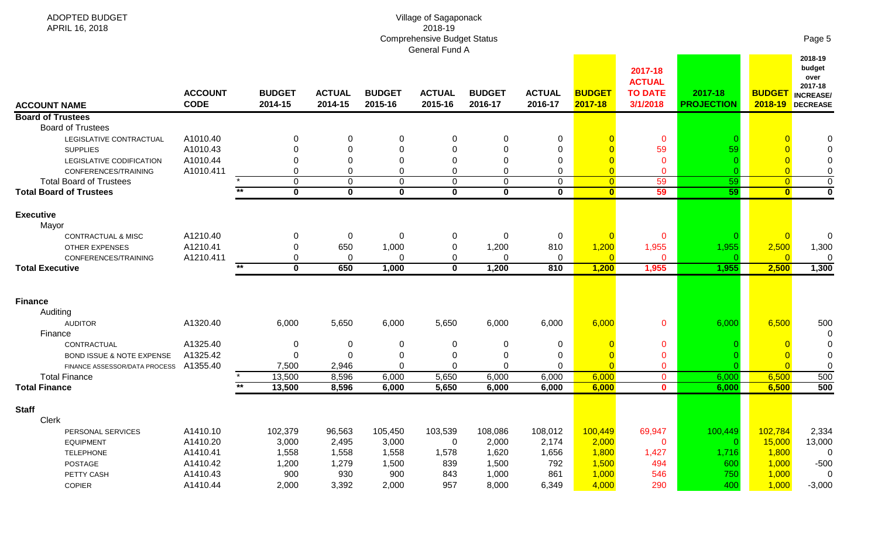| <b>ADOPTED BUDGET</b><br>APRIL 16, 2018                          |                               |                          |                                        |                          | Village of Sagaponack<br>2018-19<br><b>Comprehensive Budget Status</b><br>General Fund A |                          |                             |                                |                                                        |                              |                                | Page 5                                                                       |
|------------------------------------------------------------------|-------------------------------|--------------------------|----------------------------------------|--------------------------|------------------------------------------------------------------------------------------|--------------------------|-----------------------------|--------------------------------|--------------------------------------------------------|------------------------------|--------------------------------|------------------------------------------------------------------------------|
| <b>ACCOUNT NAME</b>                                              | <b>ACCOUNT</b><br><b>CODE</b> | <b>BUDGET</b><br>2014-15 | <b>ACTUAL</b><br>2014-15               | <b>BUDGET</b><br>2015-16 | <b>ACTUAL</b><br>2015-16                                                                 | <b>BUDGET</b><br>2016-17 | <b>ACTUAL</b><br>2016-17    | <b>BUDGET</b><br>2017-18       | 2017-18<br><b>ACTUAL</b><br><b>TO DATE</b><br>3/1/2018 | 2017-18<br><b>PROJECTION</b> | <b>BUDGET</b>                  | 2018-19<br>budget<br>over<br>2017-18<br><b>INCREASE/</b><br>2018-19 DECREASE |
| <b>Board of Trustees</b>                                         |                               |                          |                                        |                          |                                                                                          |                          |                             |                                |                                                        |                              |                                |                                                                              |
| <b>Board of Trustees</b>                                         |                               |                          |                                        |                          |                                                                                          |                          |                             |                                |                                                        |                              |                                |                                                                              |
| LEGISLATIVE CONTRACTUAL                                          | A1010.40                      | 0                        | 0                                      | 0                        | 0                                                                                        |                          | 0                           |                                | $\mathbf 0$                                            |                              |                                |                                                                              |
| <b>SUPPLIES</b>                                                  | A1010.43                      |                          | $\Omega$                               |                          | $\Omega$                                                                                 |                          | $\Omega$                    |                                | 59                                                     | 59                           |                                |                                                                              |
| LEGISLATIVE CODIFICATION                                         | A1010.44                      |                          | 0                                      |                          | $\mathbf 0$                                                                              |                          | $\Omega$                    |                                | $\Omega$                                               |                              |                                |                                                                              |
| CONFERENCES/TRAINING                                             | A1010.411                     | 0                        | 0                                      |                          | $\mathbf 0$                                                                              |                          | 0                           | $\overline{0}$                 | $\mathbf 0$                                            |                              | $\overline{0}$                 | $\Omega$                                                                     |
| <b>Total Board of Trustees</b><br><b>Total Board of Trustees</b> |                               | 0<br>$*$<br>$\mathbf{0}$ | $\mathbf 0$<br>$\overline{\mathbf{0}}$ | $\Omega$<br>$\mathbf 0$  | $\mathbf 0$<br>$\overline{\mathbf{0}}$                                                   | $\Omega$<br>$\bf{0}$     | $\mathbf{0}$<br>$\mathbf 0$ | $\overline{0}$<br>$\mathbf{0}$ | 59<br>59                                               | 59<br>59                     | $\overline{0}$<br>$\mathbf{0}$ | $\mathbf 0$<br>$\overline{\mathbf{0}}$                                       |
|                                                                  |                               |                          |                                        |                          |                                                                                          |                          |                             |                                |                                                        |                              |                                |                                                                              |
| <b>Executive</b><br>Mayor                                        |                               |                          |                                        |                          |                                                                                          |                          |                             |                                |                                                        |                              |                                |                                                                              |
| <b>CONTRACTUAL &amp; MISC</b>                                    | A1210.40<br>A1210.41          | 0<br>0                   | 0<br>650                               | 0                        | 0                                                                                        | 0                        | 0<br>810                    | $\overline{0}$                 | $\mathbf 0$                                            |                              | $\overline{0}$                 | $\Omega$                                                                     |
| <b>OTHER EXPENSES</b><br>CONFERENCES/TRAINING                    | A1210.411                     | 0                        | $\mathbf 0$                            | 1,000<br>$\Omega$        | $\mathbf 0$<br>$\mathbf 0$                                                               | 1,200<br>$\Omega$        | $\Omega$                    | 1,200<br>$\overline{0}$        | 1,955<br>$\mathbf{0}$                                  | 1,955                        | 2,500<br>$\overline{0}$        | 1,300<br>$\Omega$                                                            |
| <b>Total Executive</b>                                           |                               | $***$<br>$\mathbf{0}$    | 650                                    | 1,000                    | $\mathbf 0$                                                                              | 1,200                    | 810                         | 1,200                          | 1,955                                                  | 1,955                        | 2,500                          | 1,300                                                                        |
|                                                                  |                               |                          |                                        |                          |                                                                                          |                          |                             |                                |                                                        |                              |                                |                                                                              |
| <b>Finance</b><br>Auditing                                       |                               |                          |                                        |                          |                                                                                          |                          |                             |                                |                                                        |                              |                                |                                                                              |
| <b>AUDITOR</b><br>Finance                                        | A1320.40                      | 6,000                    | 5,650                                  | 6,000                    | 5,650                                                                                    | 6,000                    | 6,000                       | 6,000                          | $\mathbf{0}$                                           | 6,000                        | 6,500                          | 500                                                                          |
| CONTRACTUAL                                                      | A1325.40                      | 0                        | $\overline{0}$                         | $\Omega$                 | $\overline{0}$                                                                           | 0                        | 0                           | $\Omega$                       | $\mathbf{0}$                                           |                              |                                |                                                                              |
| <b>BOND ISSUE &amp; NOTE EXPENSE</b>                             | A1325.42                      | 0                        | $\Omega$                               |                          | $\mathbf 0$                                                                              | 0                        | 0                           | $\overline{0}$                 | $\mathbf 0$                                            |                              | $\overline{\mathbf{0}}$        |                                                                              |
| FINANCE ASSESSOR/DATA PROCESS                                    | A1355.40                      | 7,500                    | 2,946                                  |                          | $\overline{0}$                                                                           | ∩                        | $\Omega$                    | $\overline{0}$                 | $\mathbf{0}$                                           |                              | $\overline{0}$                 |                                                                              |
| <b>Total Finance</b>                                             |                               | 13,500                   | 8,596                                  | 6,000                    | 5,650                                                                                    | 6,000                    | 6,000                       | 6,000                          | $\mathbf 0$                                            | 6,000                        | 6,500                          | 500                                                                          |
| <b>Total Finance</b>                                             |                               | 13,500                   | 8,596                                  | 6,000                    | 5,650                                                                                    | 6,000                    | 6,000                       | 6,000                          | $\mathbf 0$                                            | 6,000                        | 6,500                          | 500                                                                          |
| <b>Staff</b><br>Clerk                                            |                               |                          |                                        |                          |                                                                                          |                          |                             |                                |                                                        |                              |                                |                                                                              |
| PERSONAL SERVICES                                                | A1410.10                      | 102,379                  | 96,563                                 | 105,450                  | 103,539                                                                                  | 108,086                  | 108,012                     | 100,449                        | 69,947                                                 | 100,449                      | 102,784                        | 2,334                                                                        |
| <b>EQUIPMENT</b>                                                 | A1410.20                      | 3,000                    | 2,495                                  | 3,000                    | $\mathbf 0$                                                                              | 2,000                    | 2,174                       | 2,000                          | $\mathbf 0$                                            |                              | 15,000                         | 13,000                                                                       |
| <b>TELEPHONE</b>                                                 | A1410.41                      | 1,558                    | 1,558                                  | 1,558                    | 1,578                                                                                    | 1,620                    | 1,656                       | 1,800                          | 1,427                                                  | 1,716                        | 1,800                          | 0                                                                            |
| POSTAGE                                                          | A1410.42                      | 1,200                    | 1,279                                  | 1,500                    | 839                                                                                      | 1,500                    | 792                         | 1,500                          | 494                                                    | 600                          | 1,000                          | $-500$                                                                       |
| PETTY CASH                                                       | A1410.43                      | 900                      | 930                                    | 900                      | 843                                                                                      | 1,000                    | 861                         | 1,000                          | 546                                                    | 750                          | 1,000                          | 0                                                                            |
| COPIER                                                           | A1410.44                      | 2,000                    | 3,392                                  | 2,000                    | 957                                                                                      | 8,000                    | 6,349                       | 4,000                          | 290                                                    | 400                          | 1,000                          | $-3,000$                                                                     |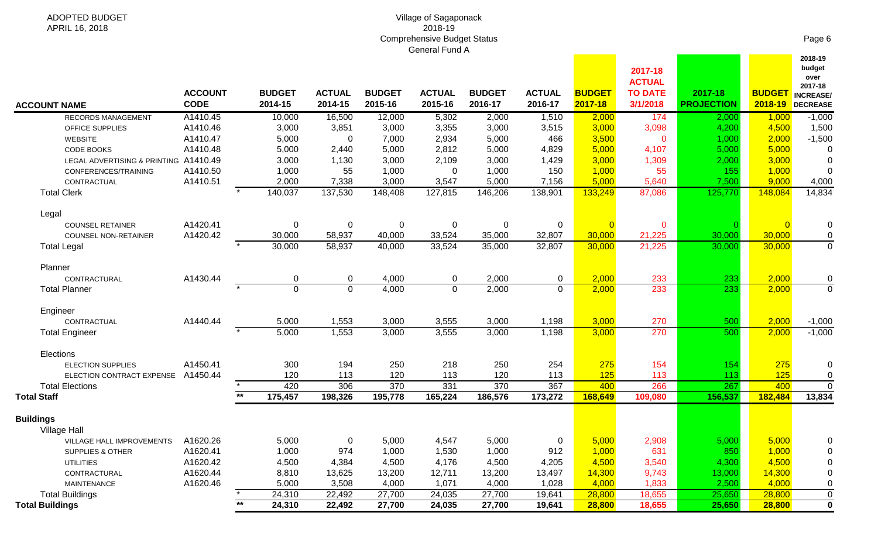| Village of Sagaponack              |  |
|------------------------------------|--|
| 2018-19                            |  |
| <b>Comprehensive Budget Status</b> |  |
| <b>General Fund A</b>              |  |
|                                    |  |

|                                                            | <b>ACCOUNT</b><br><b>CODE</b> |       | <b>BUDGET</b> | <b>ACTUAL</b>    | <b>BUDGET</b>    | <b>ACTUAL</b>  | <b>BUDGET</b>  | <b>ACTUAL</b><br>2016-17 | <b>BUDGET</b>  | 2017-18<br><b>ACTUAL</b><br><b>TO DATE</b> | 2017-18           | <b>BUDGET</b>  | budget<br>over<br>2017-18<br><b>INCREASE</b> |
|------------------------------------------------------------|-------------------------------|-------|---------------|------------------|------------------|----------------|----------------|--------------------------|----------------|--------------------------------------------|-------------------|----------------|----------------------------------------------|
| <b>ACCOUNT NAME</b>                                        |                               |       | 2014-15       | 2014-15          | 2015-16          | 2015-16        | 2016-17        |                          | 2017-18        | 3/1/2018                                   | <b>PROJECTION</b> |                | 2018-19 DECREASE                             |
| <b>RECORDS MANAGEMENT</b>                                  | A1410.45<br>A1410.46          |       | 10,000        | 16,500<br>3,851  | 12,000           | 5,302          | 2,000          | 1,510                    | 2,000<br>3,000 | 174                                        | 2,000             | 1,000          | $-1,000$                                     |
| OFFICE SUPPLIES                                            | A1410.47                      |       | 3,000         |                  | 3,000            | 3,355          | 3,000          | 3,515<br>466             |                | 3,098                                      | 4,200             | 4,500          | 1,500                                        |
| <b>WEBSITE</b>                                             | A1410.48                      |       | 5,000         | 0                | 7,000            | 2,934          | 5,000<br>5,000 |                          | 3,500<br>5,000 | $\mathbf 0$                                | 1,000             | 2,000<br>5,000 | $-1,500$<br>$\Omega$                         |
| <b>CODE BOOKS</b><br>LEGAL ADVERTISING & PRINTING A1410.49 |                               |       | 5,000         | 2,440<br>1,130   | 5,000            | 2,812<br>2,109 | 3,000          | 4,829                    |                | 4,107                                      | 5,000             | 3,000          |                                              |
|                                                            |                               |       | 3,000         |                  | 3,000            |                |                | 1,429<br>150             | 3,000          | 1,309<br>55                                | 2,000<br>155      |                | $\Omega$                                     |
| CONFERENCES/TRAINING                                       | A1410.50                      |       | 1,000         | 55               | 1,000            | 0              | 1,000<br>5,000 |                          | 1,000<br>5,000 |                                            |                   | 1,000<br>9,000 | 0                                            |
| CONTRACTUAL                                                | A1410.51                      |       | 2,000         | 7,338<br>137,530 | 3,000            | 3,547          |                | 7,156                    |                | 5,640                                      | 7,500             |                | 4,000<br>14,834                              |
| <b>Total Clerk</b>                                         |                               |       | 140,037       |                  | 148,408          | 127,815        | 146,206        | 138,901                  | 133,249        | 87,086                                     | 125,770           | 148,084        |                                              |
| Legal                                                      |                               |       |               |                  |                  |                |                |                          |                |                                            |                   |                |                                              |
| <b>COUNSEL RETAINER</b>                                    | A1420.41                      |       | $\mathbf 0$   | $\pmb{0}$        | $\boldsymbol{0}$ | 0              | $\mathbf 0$    | $\mathbf 0$              | $\Omega$       | $\mathbf 0$                                |                   |                | $\pmb{0}$                                    |
| <b>COUNSEL NON-RETAINER</b>                                | A1420.42                      |       | 30,000        | 58,937           | 40,000           | 33,524         | 35,000         | 32,807                   | 30,000         | 21,225                                     | 30,000            | 30,000         | $\pmb{0}$                                    |
| <b>Total Legal</b>                                         |                               |       | 30,000        | 58,937           | 40,000           | 33,524         | 35,000         | 32,807                   | 30,000         | 21,225                                     | 30,000            | 30,000         | $\overline{0}$                               |
| Planner                                                    |                               |       |               |                  |                  |                |                |                          |                |                                            |                   |                |                                              |
| CONTRACTURAL                                               | A1430.44                      |       | 0             | $\mathbf 0$      | 4,000            | 0              | 2,000          | 0                        | 2,000          | 233                                        | 233               | 2,000          | 0                                            |
| <b>Total Planner</b>                                       |                               |       | $\Omega$      | $\Omega$         | 4,000            | $\Omega$       | 2,000          | $\Omega$                 | 2,000          | 233                                        | $\overline{233}$  | 2,000          | $\overline{0}$                               |
|                                                            |                               |       |               |                  |                  |                |                |                          |                |                                            |                   |                |                                              |
| Engineer                                                   |                               |       |               |                  |                  |                |                |                          |                |                                            |                   |                |                                              |
| CONTRACTUAL                                                | A1440.44                      |       | 5,000         | 1,553            | 3,000            | 3,555          | 3,000          | 1,198                    | 3,000          | 270                                        | 500               | 2,000          | $-1,000$                                     |
| <b>Total Engineer</b>                                      |                               |       | 5,000         | 1,553            | 3,000            | 3,555          | 3,000          | 1,198                    | 3,000          | 270                                        | 500               | 2,000          | $-1,000$                                     |
| Elections                                                  |                               |       |               |                  |                  |                |                |                          |                |                                            |                   |                |                                              |
| <b>ELECTION SUPPLIES</b>                                   | A1450.41                      |       | 300           | 194              | 250              | 218            | 250            | 254                      | 275            | 154                                        | 154               | 275            | $\Omega$                                     |
| ELECTION CONTRACT EXPENSE                                  | A1450.44                      |       | 120           | 113              | 120              | 113            | 120            | 113                      | 125            | 113                                        | 113               | 125            | $\pmb{0}$                                    |
| <b>Total Elections</b>                                     |                               |       | 420           | 306              | 370              | 331            | 370            | 367                      | 400            | 266                                        | 267               | 400            | $\mathbf{0}$                                 |
| <b>Total Staff</b>                                         |                               | $***$ | 175,457       | 198,326          | 195,778          | 165,224        | 186,576        | 173,272                  | 168,649        | 109,080                                    | 156,537           | 182,484        | 13,834                                       |
| <b>Buildings</b>                                           |                               |       |               |                  |                  |                |                |                          |                |                                            |                   |                |                                              |
| <b>Village Hall</b>                                        |                               |       |               |                  |                  |                |                |                          |                |                                            |                   |                |                                              |
| VILLAGE HALL IMPROVEMENTS                                  | A1620.26                      |       | 5,000         | 0                | 5,000            | 4,547          | 5,000          | 0                        | 5,000          | 2,908                                      | 5,000             | 5,000          | 0                                            |
| SUPPLIES & OTHER                                           | A1620.41                      |       | 1,000         | 974              | 1,000            | 1,530          | 1,000          | 912                      | 1,000          | 631                                        | 850               | 1,000          | $\mathbf 0$                                  |
| <b>UTILITIES</b>                                           | A1620.42                      |       | 4,500         | 4,384            | 4,500            | 4,176          | 4,500          | 4,205                    | 4,500          | 3,540                                      | 4,300             | 4,500          | $\pmb{0}$                                    |
| CONTRACTURAL                                               | A1620.44                      |       | 8,810         | 13,625           | 13,200           | 12,711         | 13,200         | 13,497                   | 14,300         | 9,743                                      | 13,000            | 14,300         | $\pmb{0}$                                    |
| <b>MAINTENANCE</b>                                         | A1620.46                      |       | 5,000         | 3,508            | 4,000            | 1,071          | 4,000          | 1,028                    | 4,000          | 1,833                                      | 2,500             | 4,000          | $\pmb{0}$                                    |
| <b>Total Buildings</b>                                     |                               |       | 24,310        | 22,492           | 27,700           | 24,035         | 27,700         | 19,641                   | 28,800         | 18,655                                     | 25,650            | 28,800         | $\overline{0}$                               |
| <b>Total Buildings</b>                                     |                               | $**$  | 24,310        | 22,492           | 27,700           | 24,035         | 27,700         | 19,641                   | 28,800         | 18,655                                     | 25,650            | 28,800         | $\overline{\mathbf{0}}$                      |
|                                                            |                               |       |               |                  |                  |                |                |                          |                |                                            |                   |                |                                              |

Page 6

**2018-19** 

<u> I a shekara t</u>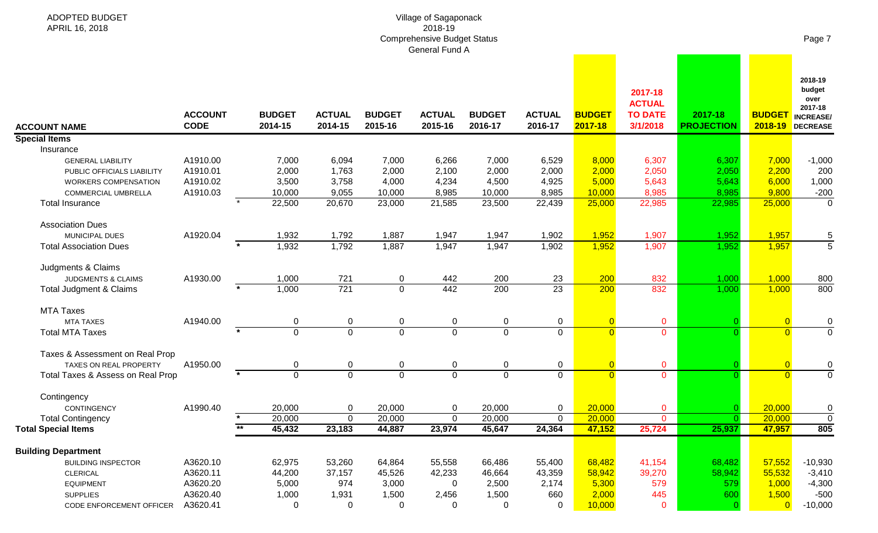| <b>ADOPTED BUDGET</b><br>APRIL 16, 2018 |                               |                          |                          |                          | Village of Sagaponack<br>2018-19<br><b>Comprehensive Budget Status</b><br>General Fund A |                          |                          |                          |                                                        |                              |                          | Page 7                                                                     |
|-----------------------------------------|-------------------------------|--------------------------|--------------------------|--------------------------|------------------------------------------------------------------------------------------|--------------------------|--------------------------|--------------------------|--------------------------------------------------------|------------------------------|--------------------------|----------------------------------------------------------------------------|
| <b>ACCOUNT NAME</b>                     | <b>ACCOUNT</b><br><b>CODE</b> | <b>BUDGET</b><br>2014-15 | <b>ACTUAL</b><br>2014-15 | <b>BUDGET</b><br>2015-16 | <b>ACTUAL</b><br>2015-16                                                                 | <b>BUDGET</b><br>2016-17 | <b>ACTUAL</b><br>2016-17 | <b>BUDGET</b><br>2017-18 | 2017-18<br><b>ACTUAL</b><br><b>TO DATE</b><br>3/1/2018 | 2017-18<br><b>PROJECTION</b> | <b>BUDGET</b><br>2018-19 | 2018-19<br>budget<br>over<br>2017-18<br><b>INCREASE</b><br><b>DECREASE</b> |
| <b>Special Items</b>                    |                               |                          |                          |                          |                                                                                          |                          |                          |                          |                                                        |                              |                          |                                                                            |
| Insurance                               |                               |                          |                          |                          |                                                                                          |                          |                          |                          |                                                        |                              |                          |                                                                            |
| <b>GENERAL LIABILITY</b>                | A1910.00                      | 7,000                    | 6,094                    | 7,000                    | 6,266                                                                                    | 7,000                    | 6,529                    | 8,000                    | 6,307                                                  | 6,307                        | 7,000                    | $-1,000$                                                                   |
| PUBLIC OFFICIALS LIABILITY              | A1910.01                      | 2,000                    | 1,763                    | 2,000                    | 2,100                                                                                    | 2,000                    | 2,000                    | 2,000                    | 2,050                                                  | 2,050                        | 2,200                    | 200                                                                        |
| WORKERS COMPENSATION                    | A1910.02                      | 3,500                    | 3,758                    | 4,000                    | 4,234                                                                                    | 4,500                    | 4,925                    | 5,000                    | 5,643                                                  | 5,643                        | 6,000                    | 1,000                                                                      |
| <b>COMMERCIAL UMBRELLA</b>              | A1910.03                      | 10,000                   | 9,055                    | 10,000                   | 8,985                                                                                    | 10,000                   | 8,985                    | 10,000                   | 8,985                                                  | 8,985                        | 9,800                    | $-200$                                                                     |
| <b>Total Insurance</b>                  |                               | 22,500                   | 20,670                   | 23,000                   | 21,585                                                                                   | 23,500                   | 22,439                   | 25,000                   | 22,985                                                 | 22,985                       | 25,000                   | 0                                                                          |
| <b>Association Dues</b>                 |                               |                          |                          |                          |                                                                                          |                          |                          |                          |                                                        |                              |                          |                                                                            |
| MUNICIPAL DUES                          | A1920.04                      | 1,932                    | 1,792                    | 1,887                    | 1,947                                                                                    | 1,947                    | 1,902                    | 1,952                    | 1,907                                                  | 1,952                        | 1,957                    | 5                                                                          |
| <b>Total Association Dues</b>           |                               | 1,932                    | 1,792                    | 1,887                    | 1,947                                                                                    | 1,947                    | 1,902                    | 1,952                    | 1,907                                                  | 1,952                        | 1,957                    | $\overline{5}$                                                             |
| Judgments & Claims                      |                               |                          |                          |                          |                                                                                          |                          |                          |                          |                                                        |                              |                          |                                                                            |
| JUDGMENTS & CLAIMS                      | A1930.00                      | 1,000                    | 721                      | 0                        | 442                                                                                      | 200                      | 23                       | 200                      | 832                                                    | 1,000                        | 1,000                    | 800                                                                        |
| Total Judgment & Claims                 |                               | 1,000                    | $\overline{721}$         | $\overline{0}$           | 442                                                                                      | 200                      | $\overline{23}$          | 200                      | 832                                                    | 1,000                        | 1,000                    | 800                                                                        |
| <b>MTA Taxes</b>                        |                               |                          |                          |                          |                                                                                          |                          |                          |                          |                                                        |                              |                          |                                                                            |
| <b>MTA TAXES</b>                        | A1940.00                      | 0                        | 0                        | 0                        | 0                                                                                        | 0                        | 0                        | $\overline{0}$           | $\mathbf{O}$                                           |                              | $\overline{0}$           | 0                                                                          |
| <b>Total MTA Taxes</b>                  |                               | $\overline{0}$           | $\overline{0}$           | $\overline{0}$           | $\overline{0}$                                                                           | $\mathbf{0}$             | $\overline{0}$           | $\overline{0}$           | $\mathbf 0$                                            |                              | $\overline{0}$           | $\mathbf 0$                                                                |
| Taxes & Assessment on Real Prop         |                               |                          |                          |                          |                                                                                          |                          |                          |                          |                                                        |                              |                          |                                                                            |
| <b>TAXES ON REAL PROPERTY</b>           | A1950.00                      | 0                        | 0                        | 0                        | 0                                                                                        | 0                        | 0                        | $\overline{0}$           | $\mathbf{O}$                                           |                              | $\overline{0}$           | 0                                                                          |
| Total Taxes & Assess on Real Prop       |                               | $\overline{0}$           | $\overline{0}$           | $\mathbf 0$              | $\overline{0}$                                                                           | $\mathbf 0$              | $\overline{0}$           | $\overline{0}$           | $\overline{0}$                                         | $\Omega$                     | $\overline{0}$           | $\overline{0}$                                                             |
| Contingency                             |                               |                          |                          |                          |                                                                                          |                          |                          |                          |                                                        |                              |                          |                                                                            |
| CONTINGENCY                             | A1990.40                      | 20,000                   | 0                        | 20,000                   | 0                                                                                        | 20,000                   | 0                        | 20,000                   | $\mathbf 0$                                            | 0.                           | 20,000                   | 0                                                                          |
| <b>Total Contingency</b>                |                               | 20,000                   | $\mathbf 0$              | 20,000                   | $\pmb{0}$                                                                                | 20,000                   | $\Omega$                 | 20,000                   | $\Omega$                                               | $\Omega$                     | 20,000                   | 0                                                                          |
| <b>Total Special Items</b>              |                               | $***$<br>45,432          | 23,183                   | 44,887                   | 23,974                                                                                   | 45,647                   | 24,364                   | 47,152                   | 25,724                                                 | 25,937                       | 47,957                   | 805                                                                        |
| <b>Building Department</b>              |                               |                          |                          |                          |                                                                                          |                          |                          |                          |                                                        |                              |                          |                                                                            |
| <b>BUILDING INSPECTOR</b>               | A3620.10                      | 62,975                   | 53,260                   | 64,864                   | 55,558                                                                                   | 66,486                   | 55,400                   | 68,482                   | 41,154                                                 | 68,482                       | 57,552                   | $-10,930$                                                                  |
| <b>CLERICAL</b>                         | A3620.11                      | 44,200                   | 37,157                   | 45,526                   | 42,233                                                                                   | 46,664                   | 43,359                   | 58,942                   | 39,270                                                 | 58,942                       | 55,532                   | $-3,410$                                                                   |
| <b>EQUIPMENT</b>                        | A3620.20                      | 5,000                    | 974                      | 3,000                    | 0                                                                                        | 2,500                    | 2,174                    | 5,300                    | 579                                                    | 579                          | 1,000                    | $-4,300$                                                                   |
| <b>SUPPLIES</b>                         | A3620.40                      | 1,000                    | 1,931                    | 1,500                    | 2,456                                                                                    | 1,500                    | 660                      | 2,000                    | 445                                                    | 600                          | 1,500                    | $-500$                                                                     |
| CODE ENFORCEMENT OFFICER                | A3620.41                      | 0                        | 0                        | 0                        | 0                                                                                        | 0                        | 0                        | 10,000                   | $\mathbf{0}$                                           |                              | $\overline{0}$           | $-10,000$                                                                  |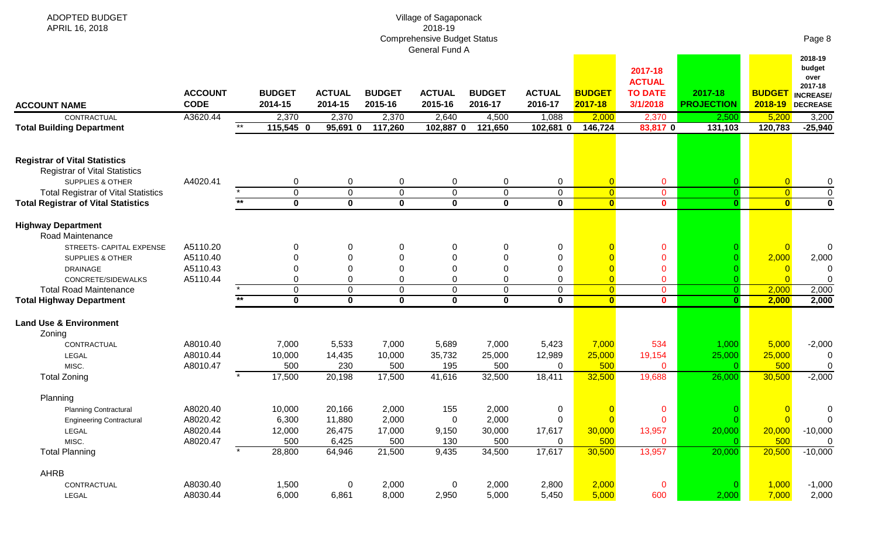| ADOPTED BUDGET                                                               |                |         |               |               |                | Village of Sagaponack                         |               |               |                |                          |                   |                |                                      |
|------------------------------------------------------------------------------|----------------|---------|---------------|---------------|----------------|-----------------------------------------------|---------------|---------------|----------------|--------------------------|-------------------|----------------|--------------------------------------|
| APRIL 16, 2018                                                               |                |         |               |               |                | 2018-19<br><b>Comprehensive Budget Status</b> |               |               |                |                          |                   |                | Page 8                               |
|                                                                              |                |         |               |               |                | General Fund A                                |               |               |                |                          |                   |                |                                      |
|                                                                              |                |         |               |               |                |                                               |               |               |                | 2017-18<br><b>ACTUAL</b> |                   |                | 2018-19<br>budget<br>over<br>2017-18 |
|                                                                              | <b>ACCOUNT</b> |         | <b>BUDGET</b> | <b>ACTUAL</b> | <b>BUDGET</b>  | <b>ACTUAL</b>                                 | <b>BUDGET</b> | <b>ACTUAL</b> | <b>BUDGET</b>  | <b>TO DATE</b>           | 2017-18           | <b>BUDGET</b>  | <b>INCREASE/</b>                     |
| <b>ACCOUNT NAME</b>                                                          | <b>CODE</b>    |         | 2014-15       | 2014-15       | 2015-16        | 2015-16                                       | 2016-17       | 2016-17       | 2017-18        | 3/1/2018                 | <b>PROJECTION</b> | 2018-19        | DECREASE                             |
| CONTRACTUAL                                                                  | A3620.44       |         | 2,370         | 2,370         | 2,370          | 2,640                                         | 4,500         | 1,088         | 2,000          | 2,370                    | 2,500             | 5,200          | 3,200                                |
| <b>Total Building Department</b>                                             |                | $***$   | 115,545 0     | 95,691 0      | 117,260        | 102,887 0                                     | 121,650       | 102,681 0     | 146,724        | 83,817 0                 | 131,103           | 120,783        | $-25,940$                            |
|                                                                              |                |         |               |               |                |                                               |               |               |                |                          |                   |                |                                      |
| <b>Registrar of Vital Statistics</b><br><b>Registrar of Vital Statistics</b> |                |         |               |               |                |                                               |               |               |                |                          |                   |                |                                      |
| <b>SUPPLIES &amp; OTHER</b>                                                  | A4020.41       |         | 0             | 0             | $\mathbf 0$    | 0                                             | $\mathbf 0$   | $\mathbf 0$   | $\overline{0}$ | $\mathbf 0$              |                   | $\overline{0}$ | 0                                    |
| <b>Total Registrar of Vital Statistics</b>                                   |                |         | $\mathbf 0$   | $\mathbf 0$   | $\mathbf 0$    | 0                                             | $\mathbf 0$   | $\mathbf 0$   | $\overline{0}$ | $\mathbf 0$              | $\overline{0}$    | $\overline{0}$ | 0                                    |
| <b>Total Registrar of Vital Statistics</b>                                   |                | $*$     | $\mathbf{0}$  | $\mathbf{0}$  | $\mathbf 0$    | $\mathbf{0}$                                  | $\mathbf{0}$  | $\mathbf{0}$  | $\bullet$      | $\mathbf{0}$             | $\mathbf{0}$      | $\mathbf{0}$   | O                                    |
| <b>Highway Department</b>                                                    |                |         |               |               |                |                                               |               |               |                |                          |                   |                |                                      |
| Road Maintenance                                                             |                |         |               |               |                |                                               |               |               |                |                          |                   |                |                                      |
| STREETS- CAPITAL EXPENSE                                                     | A5110.20       |         | 0             | 0             | 0              | 0                                             | 0             | 0             |                | $\mathbf 0$              |                   | $\overline{0}$ | $\mathbf 0$                          |
| <b>SUPPLIES &amp; OTHER</b>                                                  | A5110.40       |         | $\Omega$      | 0             | $\mathbf 0$    | 0                                             | 0             | $\mathbf 0$   |                | $\mathbf 0$              |                   | 2,000          | 2,000                                |
| <b>DRAINAGE</b>                                                              | A5110.43       |         | $\Omega$      | $\Omega$      | $\overline{0}$ | $\Omega$                                      | $\mathbf{0}$  | $\mathbf 0$   |                | $\mathbf 0$              |                   | $\overline{0}$ | 0                                    |
| CONCRETE/SIDEWALKS                                                           | A5110.44       |         | 0             | $\Omega$      | $\Omega$       | 0                                             | $\Omega$      | 0             | $\overline{0}$ | $\Omega$                 |                   | $\Omega$       |                                      |
| <b>Total Road Maintenance</b>                                                |                |         | $\mathbf 0$   | 0             | $\mathbf 0$    | 0                                             | $\mathbf{0}$  | $\Omega$      | $\overline{0}$ | $\mathbf 0$              | $\overline{0}$    | 2,000          | 2,000                                |
| <b>Total Highway Department</b>                                              |                | $**$    | $\mathbf 0$   | $\mathbf 0$   | $\mathbf 0$    | $\mathbf 0$                                   | $\mathbf 0$   | $\mathbf 0$   | $\mathbf{0}$   | $\mathbf{0}$             | $\mathbf{0}$      | 2,000          | 2,000                                |
| <b>Land Use &amp; Environment</b><br>Zoning                                  |                |         |               |               |                |                                               |               |               |                |                          |                   |                |                                      |
| CONTRACTUAL                                                                  | A8010.40       |         | 7,000         | 5,533         | 7,000          | 5,689                                         | 7,000         | 5,423         | 7,000          | 534                      | 1,000             | 5,000          | $-2,000$                             |
| LEGAL                                                                        | A8010.44       |         | 10,000        | 14,435        | 10,000         | 35,732                                        | 25,000        | 12,989        | 25,000         | 19,154                   | 25,000            | 25,000         | 0                                    |
| MISC.                                                                        | A8010.47       |         | 500           | 230           | 500            | 195                                           | 500           | 0             | 500            | $\mathbf{0}$             | -0                | 500            | 0                                    |
| <b>Total Zoning</b>                                                          |                | $\star$ | 17,500        | 20,198        | 17,500         | 41,616                                        | 32,500        | 18,411        | 32,500         | 19,688                   | 26,000            | 30,500         | $-2,000$                             |
| Planning                                                                     |                |         |               |               |                |                                               |               |               |                |                          |                   |                |                                      |
| <b>Planning Contractural</b>                                                 | A8020.40       |         | 10,000        | 20,166        | 2,000          | 155                                           | 2,000         | $\mathbf 0$   | $\overline{0}$ | $\mathbf 0$              |                   | $\overline{0}$ | 0                                    |
| <b>Engineering Contractural</b>                                              | A8020.42       |         | 6,300         | 11,880        | 2,000          | $\overline{0}$                                | 2,000         | $\pmb{0}$     | $\overline{0}$ | $\mathbf{0}$             | $\Omega$          | $\overline{0}$ | 0                                    |
| LEGAL                                                                        | A8020.44       |         | 12,000        | 26,475        | 17,000         | 9,150                                         | 30,000        | 17,617        | 30,000         | 13,957                   | 20,000            | 20,000         | $-10,000$                            |
| MISC.                                                                        | A8020.47       |         | 500           | 6,425         | 500            | 130                                           | 500           | 0             | 500            | $\mathbf{0}$             |                   | 500            |                                      |
| <b>Total Planning</b>                                                        |                |         | 28,800        | 64,946        | 21,500         | 9,435                                         | 34,500        | 17,617        | 30,500         | 13,957                   | 20,000            | 20,500         | $-10,000$                            |
| AHRB                                                                         |                |         |               |               |                |                                               |               |               |                |                          |                   |                |                                      |
| CONTRACTUAL                                                                  | A8030.40       |         | 1,500         | $\mathbf 0$   | 2,000          | $\mathbf 0$                                   | 2,000         | 2,800         | 2,000          | $\overline{0}$           | -0                | 1,000          | $-1,000$                             |
| LEGAL                                                                        | A8030.44       |         | 6,000         | 6,861         | 8,000          | 2,950                                         | 5,000         | 5,450         | 5,000          | 600                      | 2,000             | 7,000          | 2,000                                |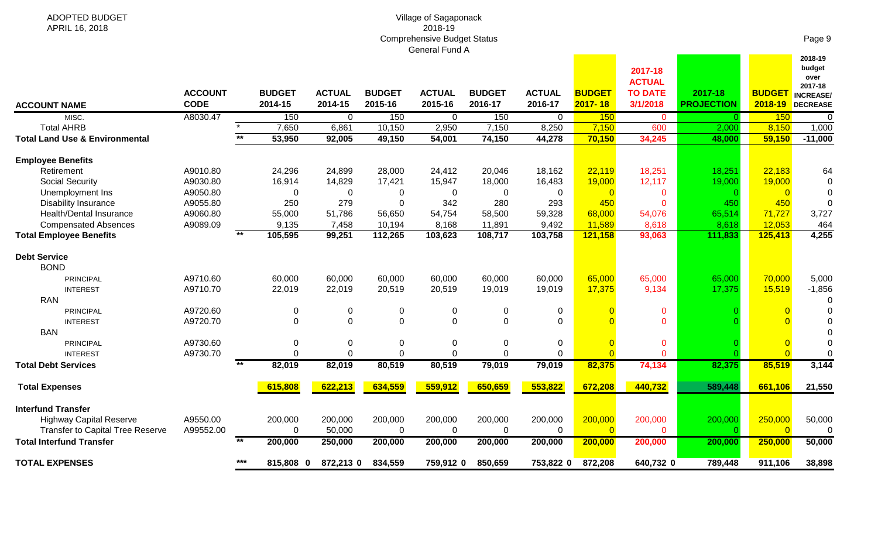| Village of Sagaponack              |  |
|------------------------------------|--|
| 2018-19                            |  |
| <b>Comprehensive Budget Status</b> |  |
| General Fund A                     |  |

ADOPTED BUDGET APRIL 16, 2018

| <b>ACCOUNT NAME</b>                       | <b>ACCOUNT</b><br><b>CODE</b> |       | <b>BUDGET</b><br>2014-15 | <b>ACTUAL</b><br>2014-15 | <b>BUDGET</b><br>2015-16 | <b>ACTUAL</b><br>2015-16 | <b>BUDGET</b><br>2016-17 | <b>ACTUAL</b><br>2016-17 | <b>BUDGET</b><br>2017-18 | <b>ACTUAL</b><br><b>TO DATE</b><br>3/1/2018 | 2017-18<br><b>PROJECTION</b> | <b>BUDGET</b><br>2018-19 | over<br>2017-18<br><b>INCREASE/</b><br><b>DECREASE</b> |
|-------------------------------------------|-------------------------------|-------|--------------------------|--------------------------|--------------------------|--------------------------|--------------------------|--------------------------|--------------------------|---------------------------------------------|------------------------------|--------------------------|--------------------------------------------------------|
| MISC.                                     | A8030.47                      |       | 150                      | $\overline{0}$           | 150                      | $\Omega$                 | 150                      | $\overline{0}$           | 150                      | $\mathbf{0}$                                | $\Omega$                     | 150                      | 0                                                      |
| <b>Total AHRB</b>                         |                               |       | 7,650                    | 6,861                    | 10,150                   | 2,950                    | 7,150                    | 8,250                    | 7,150                    | 600                                         | 2,000                        | 8,150                    | 1,000                                                  |
| <b>Total Land Use &amp; Environmental</b> |                               | $***$ | 53,950                   | 92,005                   | 49,150                   | 54,001                   | 74,150                   | 44,278                   | 70,150                   | 34,245                                      | 48,000                       | 59,150                   | $-11,000$                                              |
| <b>Employee Benefits</b>                  |                               |       |                          |                          |                          |                          |                          |                          |                          |                                             |                              |                          |                                                        |
| Retirement                                | A9010.80                      |       | 24,296                   | 24,899                   | 28,000                   | 24,412                   | 20,046                   | 18,162                   | 22,119                   | 18,251                                      | 18,251                       | 22,183                   | 64                                                     |
| <b>Social Security</b>                    | A9030.80                      |       | 16,914                   | 14,829                   | 17,421                   | 15,947                   | 18,000                   | 16,483                   | 19,000                   | 12,117                                      | 19,000                       | 19,000                   | 0                                                      |
| Unemployment Ins                          | A9050.80                      |       | $\mathbf{0}$             | $\Omega$                 | 0                        | $\Omega$                 | 0                        | $\Omega$                 |                          |                                             |                              |                          | 0                                                      |
| <b>Disability Insurance</b>               | A9055.80                      |       | 250                      | 279                      | $\mathbf 0$              | 342                      | 280                      | 293                      | 450                      |                                             | 450                          | 450                      | 0                                                      |
| Health/Dental Insurance                   | A9060.80                      |       | 55,000                   | 51,786                   | 56,650                   | 54,754                   | 58,500                   | 59,328                   | 68,000                   | 54,076                                      | 65,514                       | 71,727                   | 3,727                                                  |
| <b>Compensated Absences</b>               | A9089.09                      |       | 9,135                    | 7,458                    | 10,194                   | 8,168                    | 11,891                   | 9,492                    | 11,589                   | 8,618                                       | 8,618                        | 12,053                   | 464                                                    |
| <b>Total Employee Benefits</b>            |                               | $**$  | 105,595                  | 99,251                   | 112,265                  | 103,623                  | 108,717                  | 103,758                  | 121,158                  | 93,063                                      | 111,833                      | 125,413                  | 4,255                                                  |
| <b>Debt Service</b><br><b>BOND</b>        |                               |       |                          |                          |                          |                          |                          |                          |                          |                                             |                              |                          |                                                        |
| <b>PRINCIPAL</b>                          | A9710.60                      |       | 60,000                   | 60,000                   | 60,000                   | 60,000                   | 60,000                   | 60,000                   | 65,000                   | 65,000                                      | 65,000                       | 70,000                   | 5,000                                                  |
| <b>INTEREST</b>                           | A9710.70                      |       | 22,019                   | 22,019                   | 20,519                   | 20,519                   | 19,019                   | 19,019                   | 17,375                   | 9,134                                       | 17,375                       | 15,519                   | $-1,856$                                               |
| <b>RAN</b>                                |                               |       |                          |                          |                          |                          |                          |                          |                          |                                             |                              |                          |                                                        |
| <b>PRINCIPAL</b>                          | A9720.60                      |       | $\mathbf{0}$             | 0                        | 0                        | 0                        | 0                        | 0                        |                          | $\mathbf{0}$                                |                              |                          |                                                        |
| <b>INTEREST</b>                           | A9720.70                      |       | $\Omega$                 | $\Omega$                 | $\Omega$                 | $\Omega$                 | $\Omega$                 | $\Omega$                 |                          | $\Omega$                                    |                              |                          |                                                        |
| <b>BAN</b>                                |                               |       |                          |                          |                          |                          |                          |                          |                          |                                             |                              |                          |                                                        |
| <b>PRINCIPAL</b>                          | A9730.60                      |       | 0                        | $\Omega$                 | 0                        | $\Omega$                 | 0                        | 0                        |                          | $\mathbf 0$                                 |                              |                          |                                                        |
| <b>INTEREST</b>                           | A9730.70                      |       | $\Omega$                 | $\Omega$                 | $\Omega$                 | $\Omega$                 | $\Omega$                 | 0                        |                          | $\Omega$                                    |                              |                          |                                                        |
| <b>Total Debt Services</b>                |                               | $***$ | 82,019                   | 82,019                   | 80,519                   | 80,519                   | 79,019                   | 79,019                   | 82,375                   | 74,134                                      | 82,375                       | 85,519                   | 3,144                                                  |
| <b>Total Expenses</b>                     |                               |       | 615,808                  | 622,213                  | 634,559                  | 559,912                  | 650,659                  | 553,822                  | 672,208                  | 440,732                                     | 589,448                      | 661,106                  | 21,550                                                 |
| <b>Interfund Transfer</b>                 |                               |       |                          |                          |                          |                          |                          |                          |                          |                                             |                              |                          |                                                        |
| <b>Highway Capital Reserve</b>            | A9550.00                      |       | 200,000                  | 200,000                  | 200,000                  | 200,000                  | 200,000                  | 200,000                  | 200,000                  | 200,000                                     | 200,000                      | 250,000                  | 50,000                                                 |
| <b>Transfer to Capital Tree Reserve</b>   | A99552.00                     |       | $\mathbf{0}$             | 50,000                   | $\Omega$                 | $\Omega$                 | 0                        | $\Omega$                 |                          | $\Omega$                                    |                              |                          |                                                        |
| <b>Total Interfund Transfer</b>           |                               | $**$  | 200,000                  | 250,000                  | 200,000                  | 200,000                  | 200,000                  | 200,000                  | 200,000                  | 200,000                                     | 200,000                      | 250,000                  | 50,000                                                 |
| <b>TOTAL EXPENSES</b>                     |                               | $***$ | 815,808 0                | 872,213 0                | 834,559                  | 759,912 0                | 850,659                  | 753,822 0                | 872,208                  | 640,732 0                                   | 789,448                      | 911,106                  | 38,898                                                 |

Page 9

**2018-19** 

<u> 1999 - Jan Jan Jawa</u>